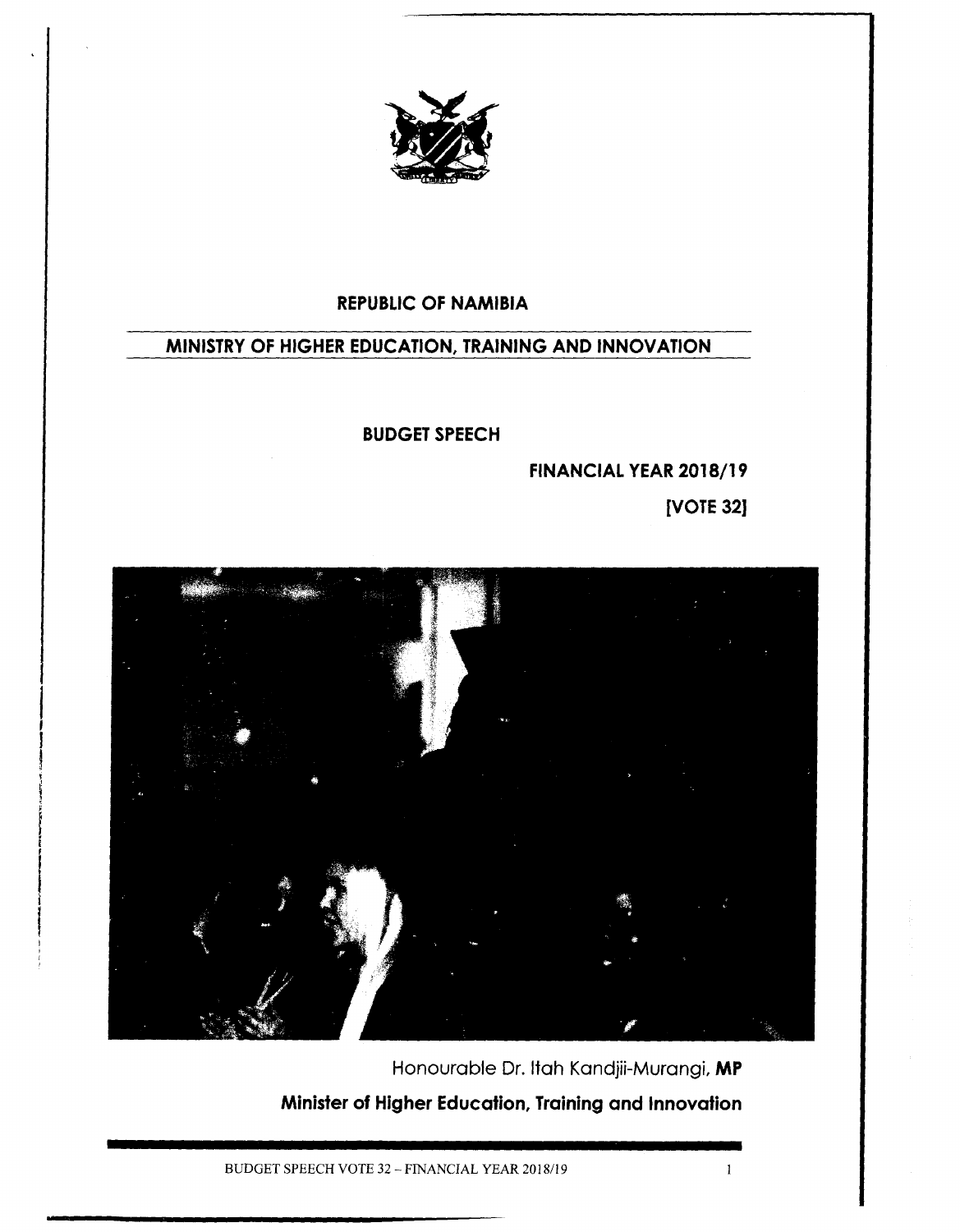

### **REPUBLICOF NAMIBIA**

## **MINISTRY OF HIGHER EDUCATION, TRAINING AND INNOVATION**

#### **BUDGET SPEECH**

**FINANCIAL YEAR 2018/19**

**[VOTE 32]**

 $\mathbf{1}$ 



Honourable Dr. Itah Kandjii-Murangi, **MP Minister of Higher Education, Training and Innovation**

BUDGET SPEECH VOTE 32 - FINANCIAL YEAR *2018/19*

f

l<br>I

I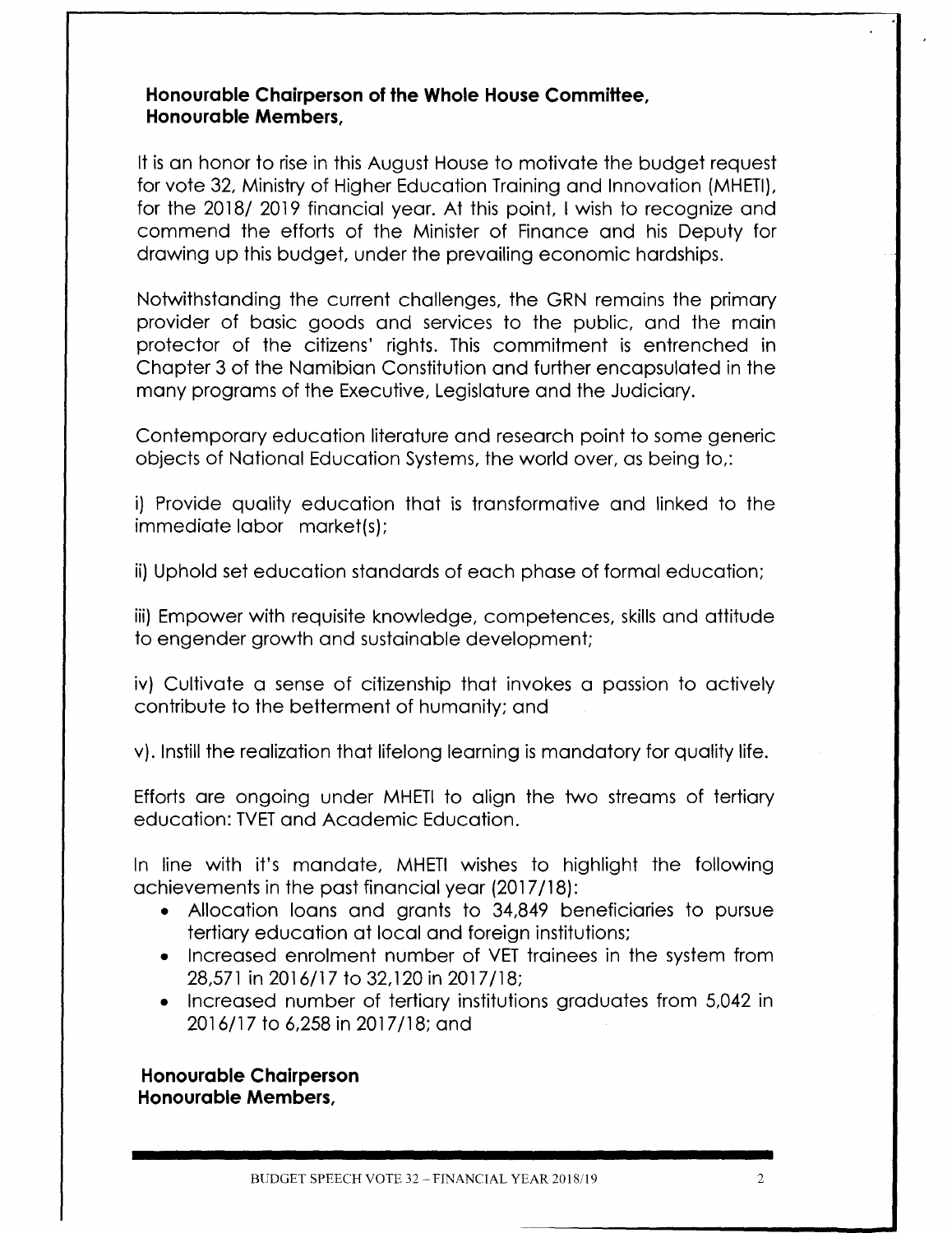#### **Honourable Chairperson of the Whole House Committee, Honourable Members,**

It is an honor to rise in this August House to motivate the budget request for vote 32, Ministry of Higher Education Training and Innovation (MHETI), for the 2018/ 2019 financial year. At this point, I wish to recognize and commend the efforts of the Minister of Finance and his Deputy for drawing up this budget, under the prevailing economic hardships.

Notwithstanding the current challenges, the GRN remains the primary provider of basic goods and services to the public, and the main protector of the citizens' rights. This commitment is entrenched in Chapter 3 of the Namibian Constitution and further encapsulated in the many programs of the Executive, Legislature and the Judiciary.

Contemporary education literature and research point to some generic objects of National Education Systems, the world over, as being to,:

i) Provide quality education that is transformative and linked to the immediate labor market(s);

ii) Uphold set education standards of each phase of formal education;

iii) Empower with requisite knowledge, competences, skills and attitude to engender growth and sustainable development;

iv) Cultivate a sense of citizenship that invokes a passion to actively contribute to the betterment of humanity; and

v). Instill the realization that lifelong learning is mandatory for quality life.

Efforts are ongoing under MHETI to align the two streams of tertiary education: TVET and Academic Education.

In line with it's mandate, MHETI wishes to highlight the following achievements in the past financial year (2017/18):

- Allocation loans and grants to 34,849 beneficiaries to pursue tertiary education at local and foreign institutions;
- Increased enrolment number of VET trainees in the system from 28,571 in 2016/17 to 32,120 in 2017/18:
- Increased number of tertiary institutions graduates from 5,042 in 2016/17 to 6,258in 2017/18; and

**Honourable Chairperson Honourable Members,**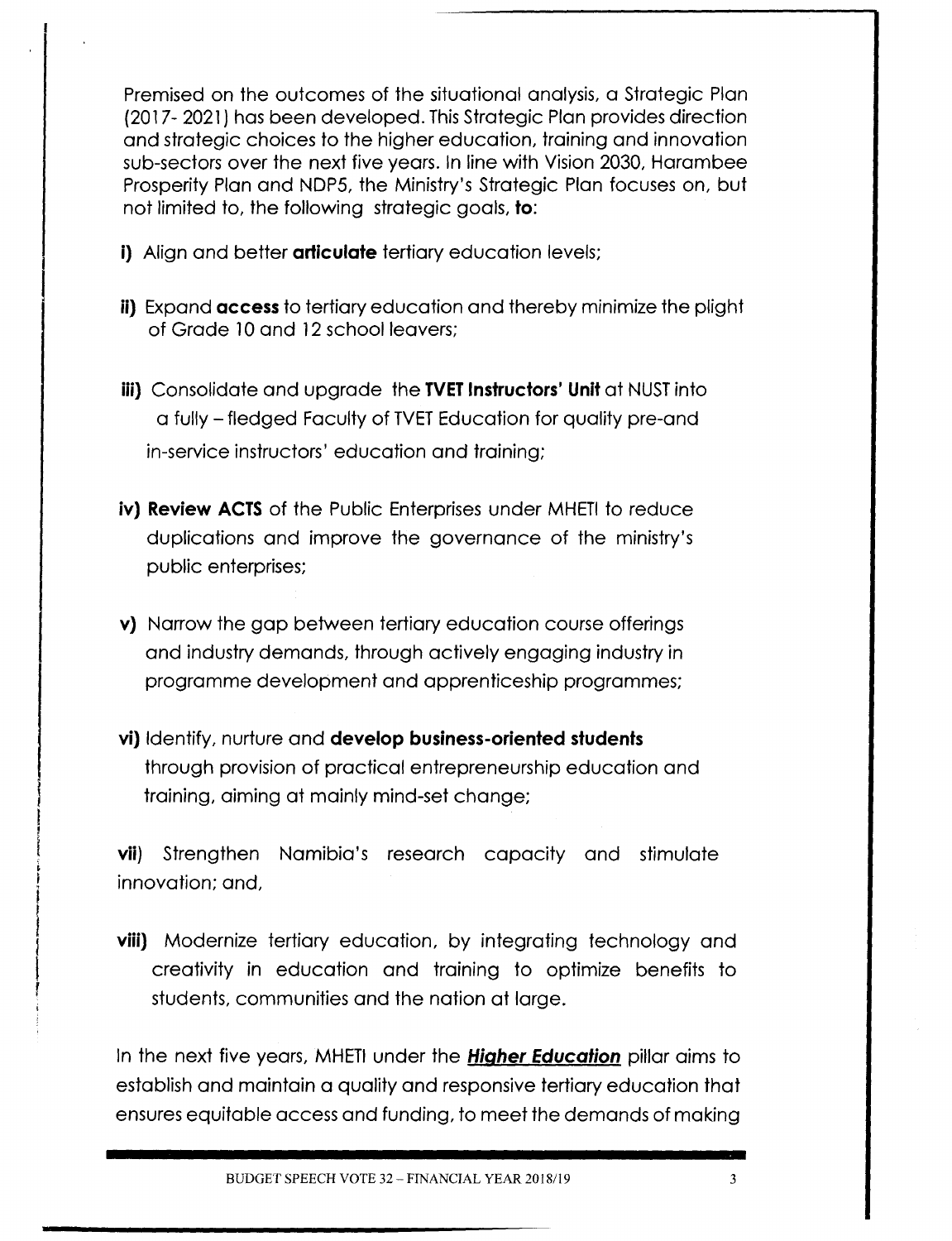Premised on the outcomes of the situational analysis, a Strategic Plan (2017- 2021) has been developed. ThisStrategic Plan provides direction and strategic choices to the higher education, training and innovation sub-sectors over the next five years. In line with Vision 2030, Harambee Prosperity Plan and NDP5, the Ministry's Strategic Plan focuses on, but not limited to, the following strategic goals, **to:**

- **i)** Align and better **articulate** tertiary education levels;
- **ii)** Expand **access** to tertiary education and thereby minimize the plight of Grade 10 and 12 school leavers;
- **iii)** Consolidate and upgrade the **TVET Instructors' Unit** at NUST into a fully - fledged Faculty of TVET Education for quality pre-and in-service instructors' education and training;
- iv) Review ACTS of the Public Enterprises under MHETI to reduce duplications and improve the governance of the ministry's public enterprises;
- **v)** Narrow the gap between tertiary education course offerings and industry demands, through actively engaging industry in programme development and apprenticeship programmes;
- **vi)** Identify, nurture and **develop business-oriented students** through provision of practical entrepreneurship education and training, aiming at mainly mind-set change;

**vii)** Strengthen Namibia's research capacity and stimulate innovation; and,

**viii)** Modernize tertiary education, by integrating technology and creativity in education and training to optimize benefits to students, communities and the nation at large.

In the next five years, MHETI under the **Higher Education** pillar aims to establish and maintain a quality and responsive tertiary education that ensures equitable access and funding, to meet the demands of making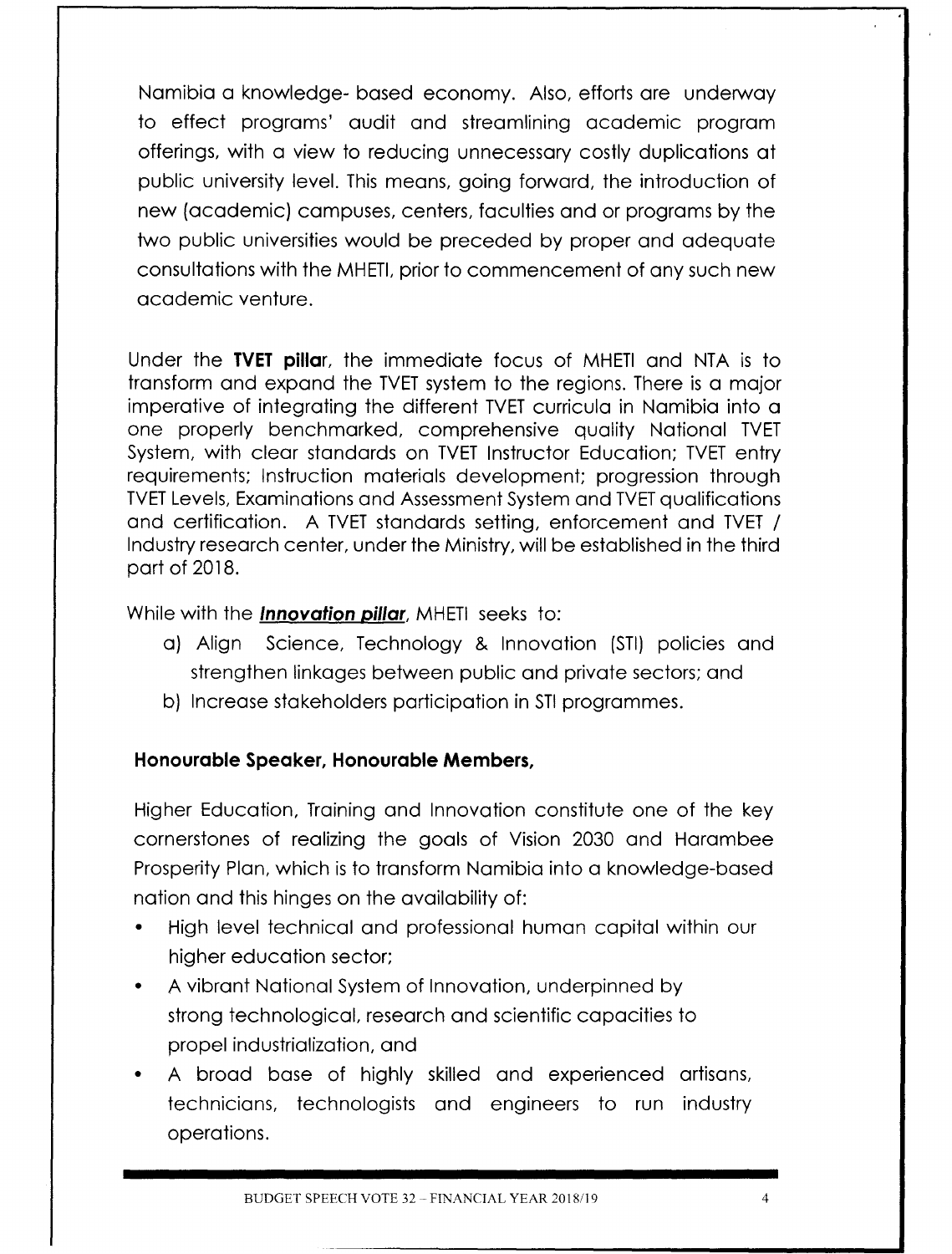Namibia a knowledge- based economy. Also, efforts are underway to effect programs' audit and streamlining academic program offerings, with a view to reducing unnecessary costly duplications at public university level. This means, going forward, the introduction of new (academic) campuses, centers, faculties and or programs by the two public universities would be preceded by proper and adequate consultations with the MHETI, prior to commencement of any such new academic venture.

Under the **TVET pillar,** the immediate focus of MHETIand NTA is to transform and expand the TVET system to the regions. There is a major imperative of integrating the different TVET curricula in Namibia into a one properly benchmarked, comprehensive quality National TVET System, with clear standards on TVET Instructor Education; TVET entry requirements; Instruction materials development; progression through TVET Levels, Examinations and Assessment System and TVET qualifications and certification. A TVET standards setting, enforcement and TVET / Industry research center, under the Ministry, will be established in the third part of 2018.

While with the *Innovation pillar*, MHETI seeks to:

- a) Align Science, Technology & Innovation (STI) policies and strengthen linkages between public and private sectors; and
- b) Increase stakeholders participation in STI programmes.

#### **Honourable Speaker, Honourable Members,**

Higher Education, Training and Innovation constitute one of the key cornerstones of realizing the goals of Vision 2030 and Harambee Prosperity Plan, which is to transform Namibia into a knowledge-based nation and this hinges on the availability of:

- High level technical and professional human capital within our higher education sector;
- A vibrant National Systemof Innovation, underpinned by strong technological, research and scientific capacities to propel industrialization, and
- A broad base of highly skilled and experienced artisans, technicians, technologists and engineers to run industry operations.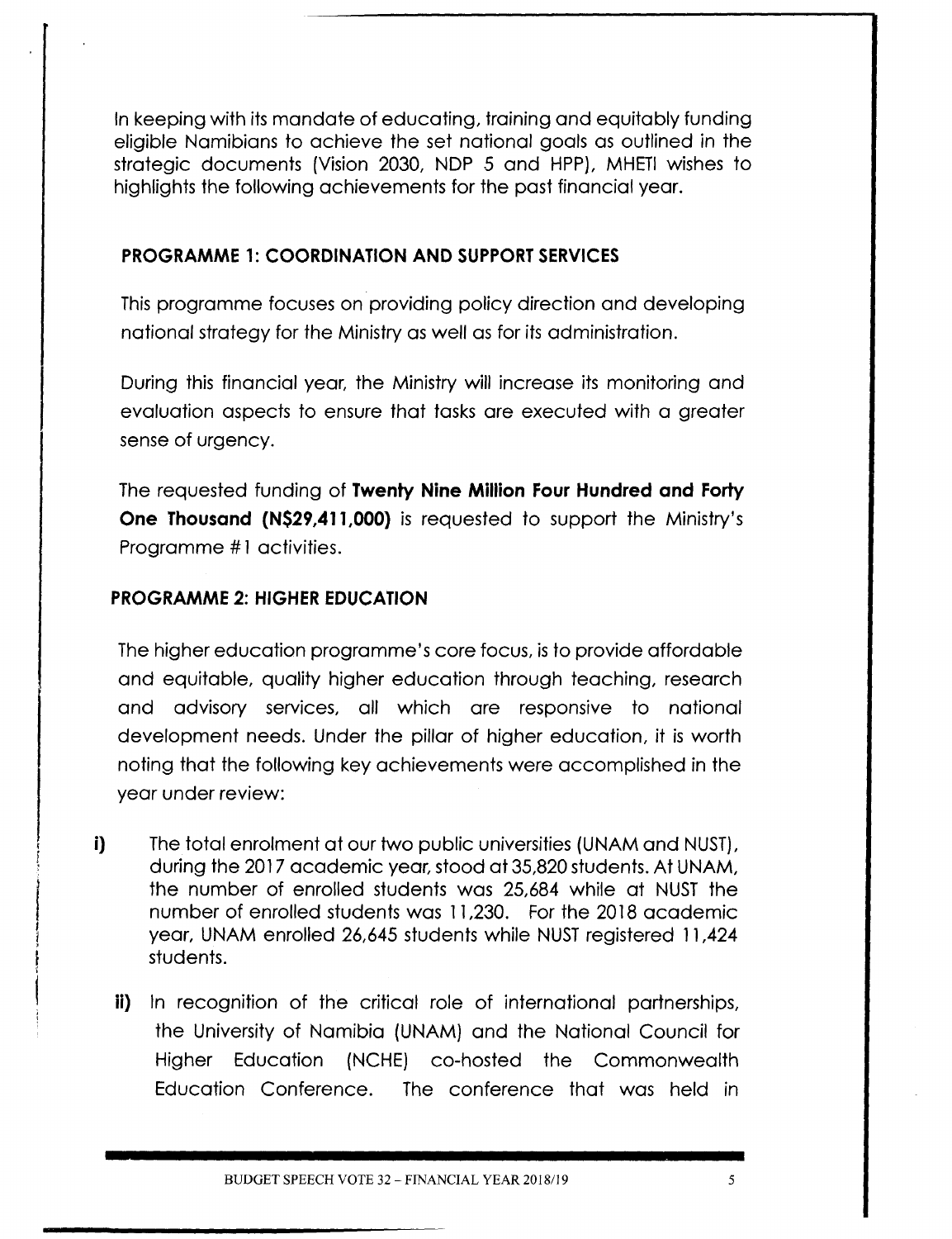In keeping with itsmandate of educating, training and equitably funding eligible Namibians to achieve the set national goals as outlined in the strategic documents (Vision 2030, NDP 5 and HPP), MHETI wishes to highlights the following achievements for the past financial year.

#### **PROGRAMME 1: COORDINATION AND SUPPORTSERVICES**

This programme focuses on providing policy direction and developing national strategy for the Ministryas well as for its administration.

During this financial year, the Ministry will increase its monitoring and evaluation aspects to ensure that tasks are executed with a greater sense of urgency.

The requested funding of **Twenty Nine Million Four Hundred and Forty One Thousand (N\$29,411,OOO)** is requested to support the Ministry's Programme #1 activities.

### **PROGRAMME 2: HIGHER EDUCATION**

The higher education programme's core focus, is to provide affordable and equitable, quality higher education through teaching, research and advisory services, all which are responsive to national development needs. Under the pillar of higher education, it is worth noting that the following key achievements were accomplished in the year under review:

- **i)** The total enrolment at our two public universities (UNAM and NUST), during the 2017academic year, stood at 35,820students. At UNAM, the number of enrolled students was 25,684 while at NUST the number of enrolled students was 11,230. Forthe 2018 academic year, UNAM enrolled 26,645 students while NUST registered 11,424 students.
	- **ii)** In recognition of the critical role of international partnerships, the University of Namibia (UNAM) and the National Council for Higher Education (NCHE) co-hosted the Commonwealth Education Conference. The conference that was held in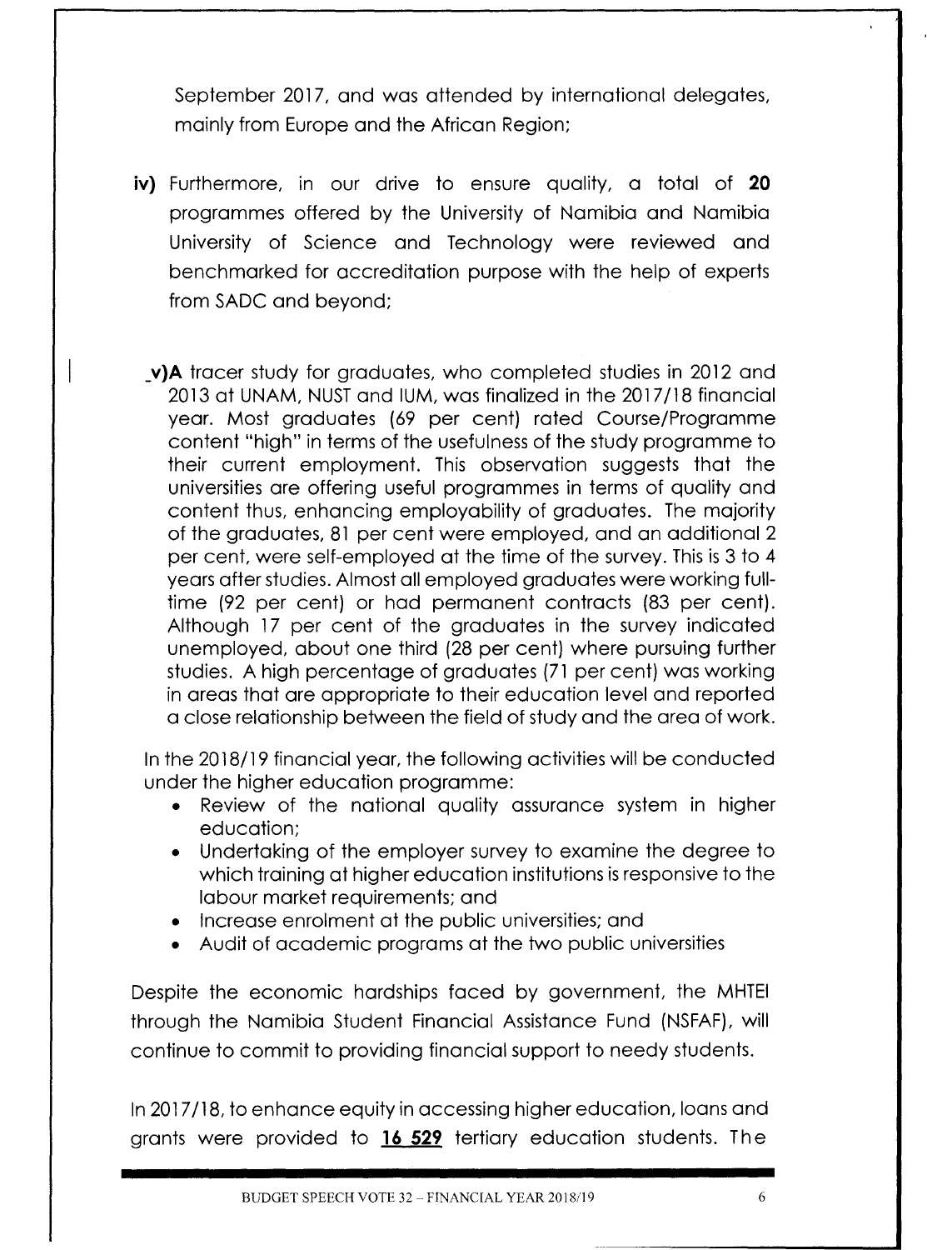September 2017, and was attended by international delegates, mainly from Europe and the African Region;

- **iv)** Furthermore, in our drive to ensure quality, a total of **20** programmes offered by the University of Namibia and Namibia University of Science and Technology were reviewed and bench marked for accreditation purpose with the help of experts from SADC and beyond;
	- **\_v)A** tracer study for graduates, who completed studies in 2012 and 2013 at UNAM, NUST and IUM, was finalized in the 2017/18 financial year. Most graduates (69 per cent) rated Course/Programme content "high" in terms of the usefulness of the study programme to their current employment. This observation suggests that the universities are offering useful programmes in terms of quality and content thus, enhancing employability of graduates. The majority of the graduates, 81 per cent were employed, and an additional 2 per cent, were self-employed at the time of the survey. This is 3 to 4 years after studies.Almost all employed graduates were working fulltime (92 per cent) or had permanent contracts (83 per cent). Although 17 per cent of the graduates in the survey indicated unemployed, about one third (28 per cent) where pursuing further studies. A high percentage of graduates (71 per cent) was working in areas that are appropriate to their education level and reported a close relationship between the field of study and the area of work.

In the 2018/19 financial year, the following activities will be conducted under the higher education programme:

- Review of the national quality assurance system in higher education;
- Undertaking of the employer survey to examine the degree to which training at higher education institutions is responsive to the labour market requirements; and
- Increase enrolment at the public universities; and
- Audit of academic programs at the two public universities

Despite the economic hardships faced by government, the MHTEI through the Namibia Student Financial Assistance Fund (NSFAF), will continue to commit to providing financial support to needy students.

In 2017/18, to enhance equity in accessing higher education, loans and grants were provided to **16 529** tertiary education students. The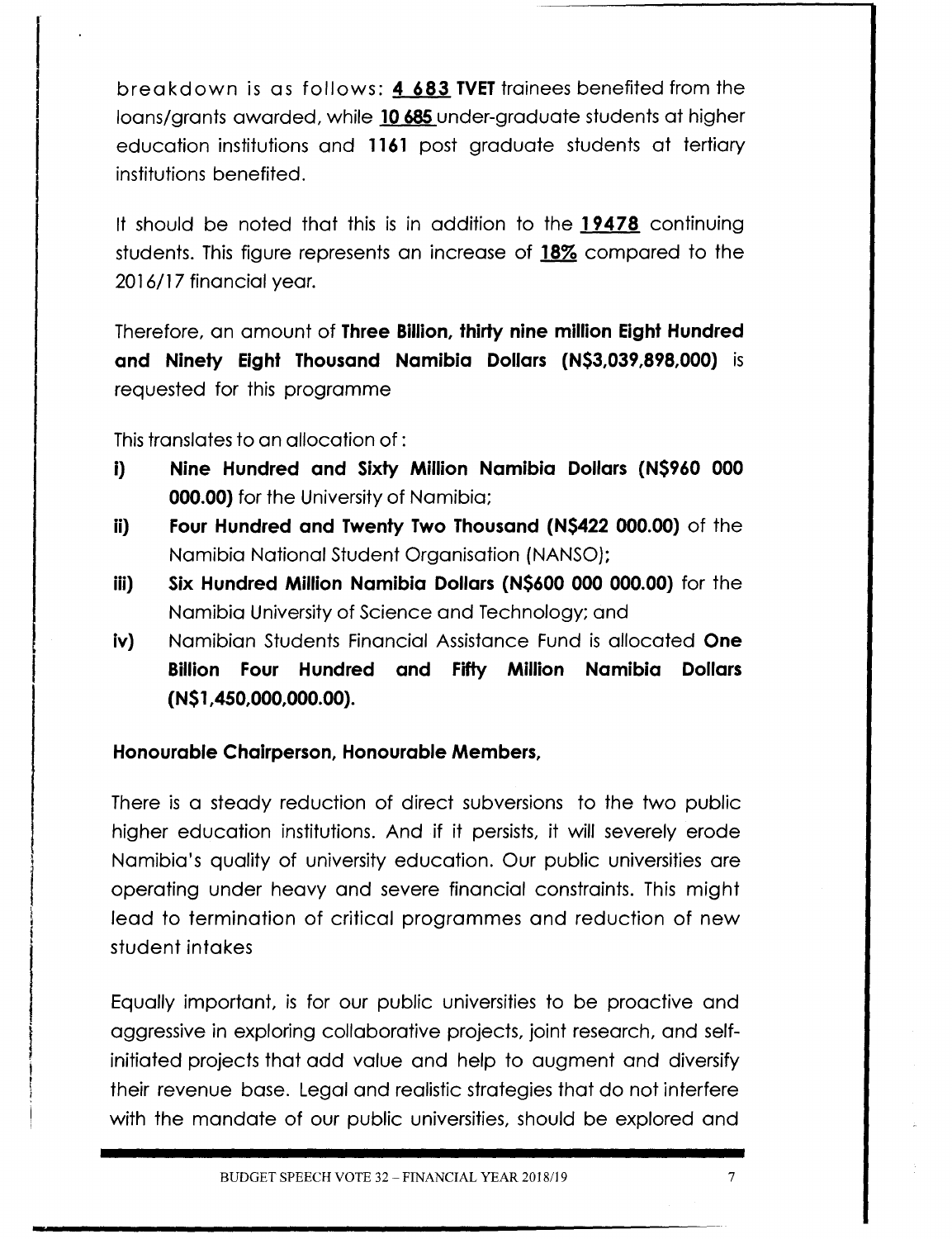breakdown is as follows: **4 683 TVET**trainees benefited from the loans/grants awarded, while **10685** under-graduate students at higher education institutions and **1161** post graduate students at tertiary institutions benefited.

It should be noted that this is in addition to the **19478** continuing students. This figure represents an increase of 18% compared to the 2016/17 financial year.

**Therefore, an amount of Three Billion, thirty nine million Eight Hundred and Ninety Eight Thousand Namibia Dollars (N\$3,039,898,000)** is requested for this programme

This translates to an allocation of :

- **i) Nine Hundred and Sixty Million Namibia Dollars (N\$960 000 000.00)** for the University of Namibia;
- **ii) Four Hundred and Twenty Two Thousand (N\$422 000.00)** of the Namibia National Student Organisation (NANSO);
- **iii) Six Hundred Million Namibia Dollars (N\$600 000 000.00)** for the Namibia Universityof Science and Technology; and
- **iv)** Namibian Students Financial Assistance Fund is allocated **One Billion Four Hundred and Fifty Million Namibia Dollars (N\$1,450,000,000.00).**

#### **Honourable Chairperson, Honourable Members,**

There is a steady reduction of direct subversions to the two public higher education institutions. And if it persists, it will severely erode Namibia's quality of university education. Our public universities are operating under heavy and severe financial constraints. This might lead to termination of critical programmes and reduction of new student intakes

Equally important, is for our public universities to be proactive and aggressive in exploring collaborative projects, joint research, and selfinitiated projects that add value and help to augment and diversify their revenue base. Legal and realistic strategies that do not interfere with the mandate of our public universities, should be explored and

**-**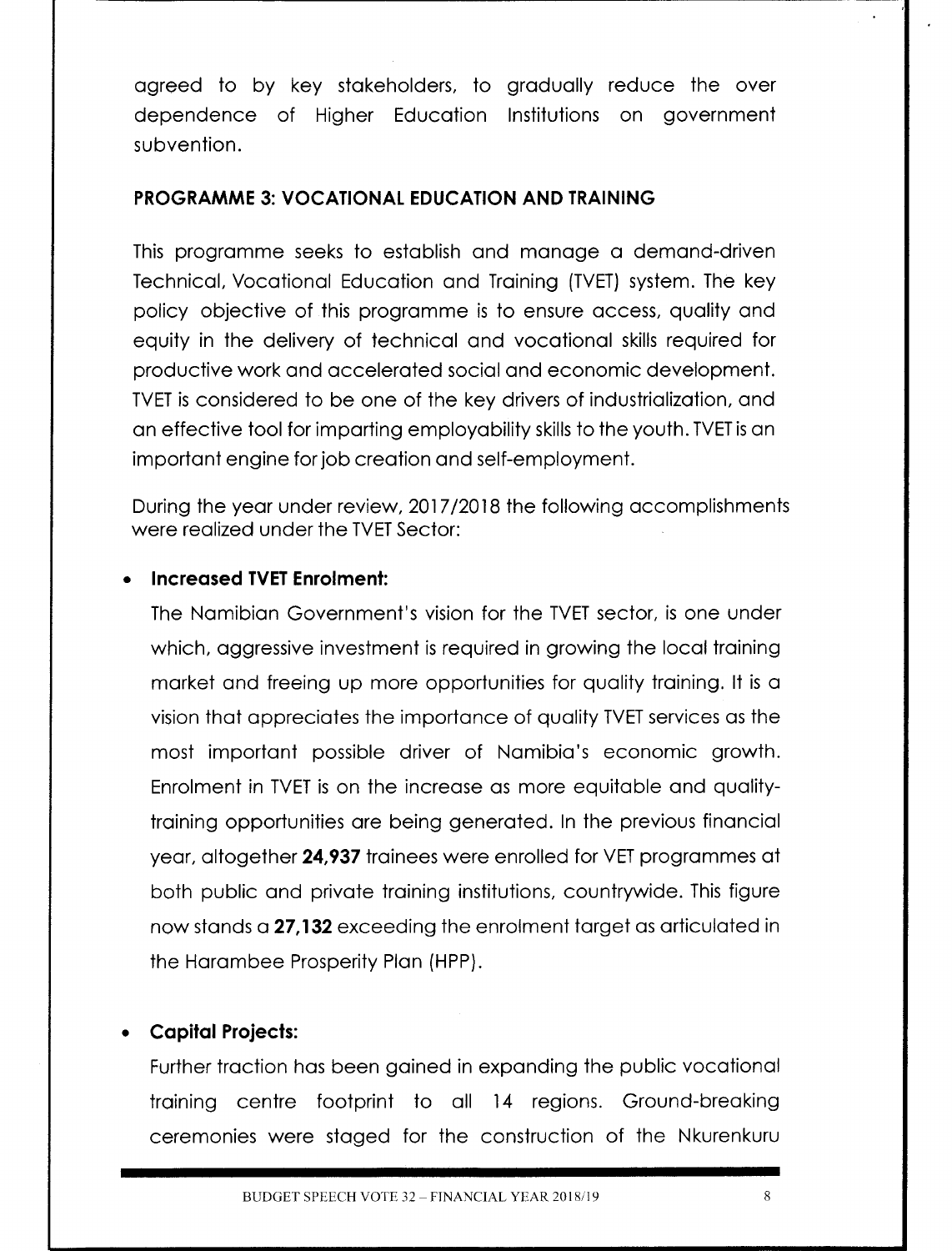agreed to by key stakeholders, to gradually reduce the over dependence of Higher Education Institutions on government subvention.

#### **PROGRAMME 3: VOCATIONAL EDUCATION AND TRAINING**

This programme seeks to establish and manage a demand-driven Technical, Vocational Education and Training (TVET) system. The key policy objective of this programme is to ensure access, quality and equity in the delivery of technical and vocational skills required for productive work and accelerated social and economic development. TVET is considered to be one of the key drivers of industrialization, and an effective tool for imparting employability skills to the youth. TVET is an important engine forjob creation and self-employment.

During the year under review, 2017/2018 the following accomplishments were realized under the TVET Sector:

#### **Increased TVET Enrolment:**

The Namibian Government's vision for the TVET sector, is one under which, aggressive investment is required in growing the local training market and freeing up more opportunities for quality training. It is a vision that appreciates the importance of quality TVET services as the most important possible driver of Namibia's economic growth. Enrolment in TVET is on the increase as more equitable and qualitytraining opportunities are being generated. In the previous financial year, altogether 24,937 trainees were enrolled for VET programmes at both public and private training institutions, countrywide. This figure now stands a **27,132** exceeding the enrolment target as articulated in the Harambee Prosperity Plan (HPP).

#### **• Capital Projects:**

Further traction has been gained in expanding the public vocational training centre footprint to all 14 regions. Ground-breaking ceremonies were staged for the construction of the Nkurenkuru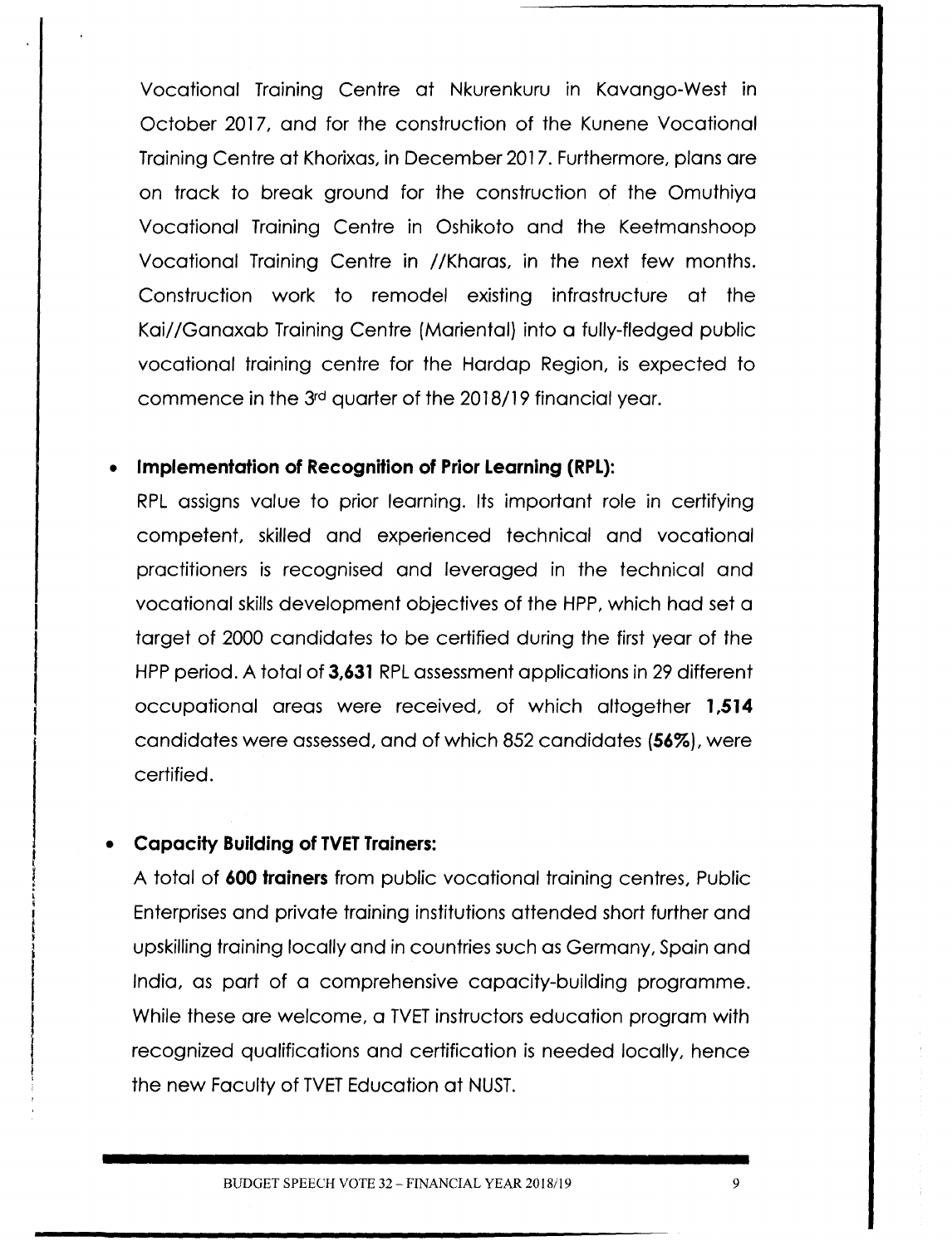Vocational Training Centre at Nkurenkuru in Kavango-West in October 2017, and for the construction of the Kunene Vocational Training Centre at Khorixas, in December 2017. Furthermore, plans are on track to break ground for the construction of the Omuthiya Vocational Training Centre in Oshikoto and the Keetmanshoop Vocational Training Centre in / /Kharas, in the next few months. Construction work to remodel existing infrastructure at the Kai//Ganaxab Training Centre (Mariental) into a fully-fledged public vocational training centre for the Hardap Region, is expected to commence in the 3rd quarter of the 2018/19 financial year.

#### **• Implementation of Recognition of Prior Learning (RPL):**

RPL assigns value to prior learning. Its important role in certifying competent, skilled and experienced technical and vocational practitioners is recognised and leveraged in the technical and vocational skills development objectives of the HPP, which had set a target of 2000 candidates to be certified during the first year of the HPP period. A total of **3,631** RPL assessment applications in 29 different occupational areas were received, of which altogether **1,514** candidates were assessed, and of which 852 candidates (56%), were certified.

#### **Capacity Building of TVET Trainers:**

A total of **600 trainers** from public vocational training centres, Public Enterprises and private training institutions attended short further and upskilling training locally and in countries such as Germany, Spain and India, as part of a comprehensive capacity-building programme. While these are welcome, a TVET instructors education program with recognized qualifications and certification is needed locally, hence the new Faculty of TVET Education at NUST.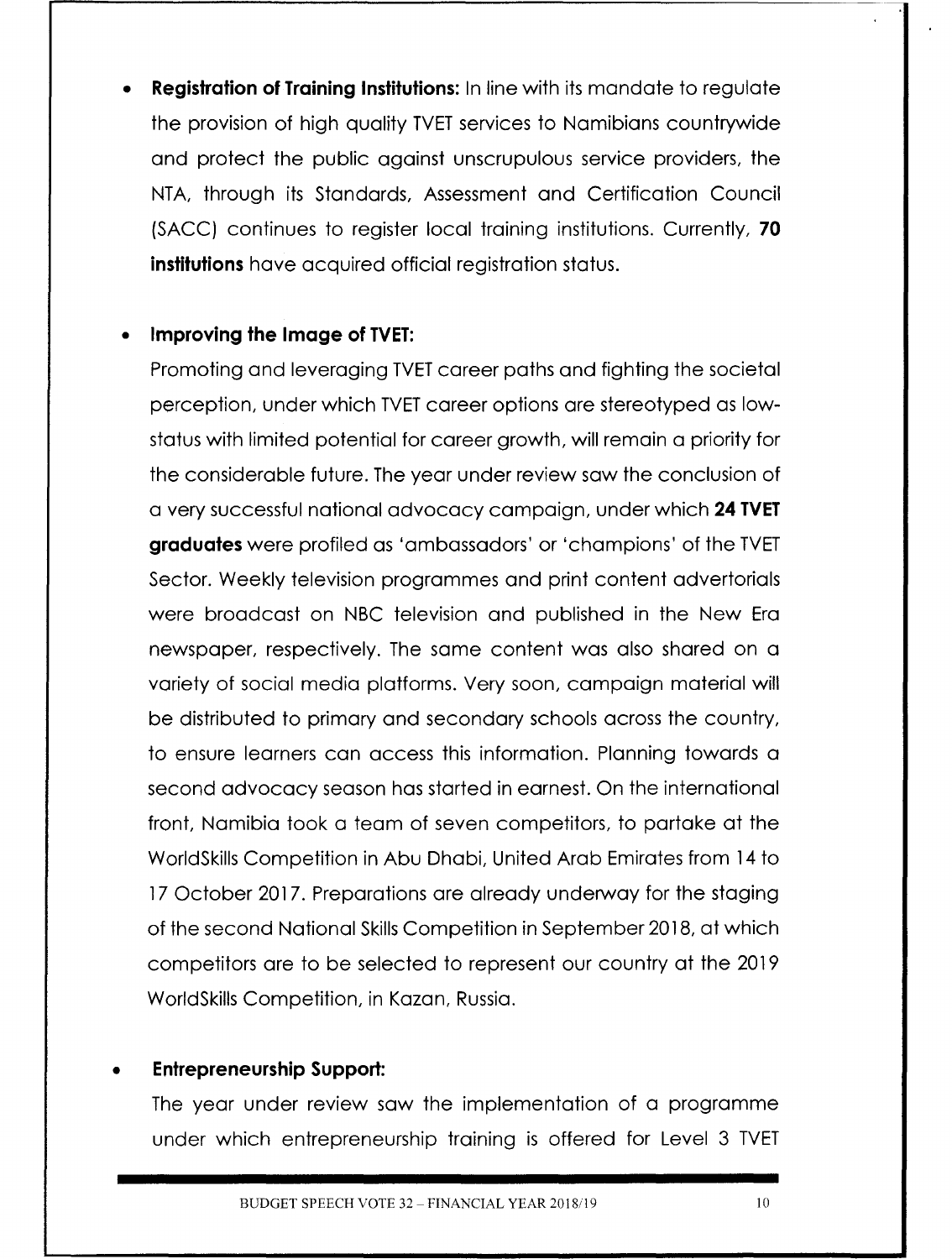**• Registration of Training Institutions:** In line with its mandate to regulate the provision of high quality TVET services to Namibians countrywide and protect the public against unscrupulous service providers, the NTA, through its Standards, Assessment and Certification Council (SACC) continues to register local training institutions. Currently, **70 institutions** have acquired official registration status.

#### **• Improving the Image of TVET:**

Promoting and leveraging TVET career paths and fighting the societal perception, under which TVET career options are stereotyped as lowstatus with limited potential for career growth, will remain a priority for the considerable future. The year under review saw the conclusion of a very successful national advocacy campaign, under which **24 TVET graduates** were profiled as 'ambassadors' or 'champions' of the TVET Sector. Weekly television programmes and print content advertorials were broadcast on NBC television and published in the New Era newspaper, respectively. The same content was also shared on a variety of social media platforms. Very soon, campaign material will be distributed to primary and secondary schools across the country, to ensure learners can access this information. Planning towards a second advocacy season has started in earnest. On the international front, Namibia took a team of seven competitors, to partake at the WorldSkills Competition in Abu Dhabi, United Arab Emirates from 14 to 17 October 2017. Preparations are already underway for the staging of the second National Skills Competition in September 2018, at which competitors are to be selected to represent our country at the 2019 WorldSkills Competition, in Kazan, Russia.

#### **• Entrepreneurship Support:**

The year under review saw the implementation of a programme under which entrepreneurship training is offered for Level 3 TVET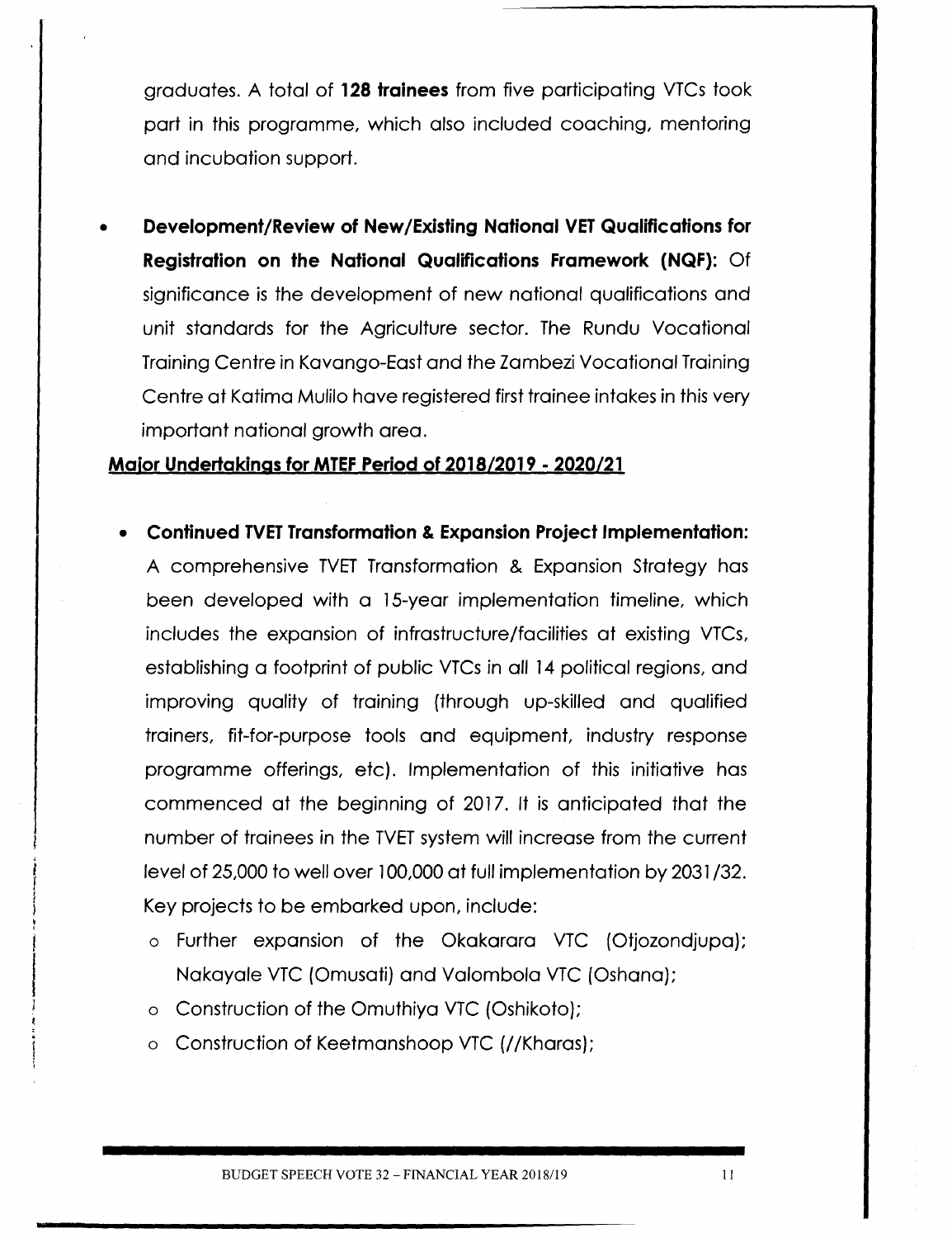graduates. A total of **128 trainees** from five participating VTCs took part in this programme, which also included coaching, mentoring and incubation support.

**• Development/Review of New/Existing National VET Qualifications for Registration on the National Qualifications Framework (NQF):** Of significance is the development of new national qualifications and unit standards for the Agriculture sector. The Rundu Vocational Training Centre in Kavango-East and the Zambezi Vocational Training Centre at Katima Mulilo have registered first trainee intakes in this very important national growth area.

#### **Major Undertakings for MTEFPeriod of** *201812019 . 2020121*

- **Continued TVET Transformation & Expansion Project Implementation:** A comprehensive TVET Transformation & Expansion Strategy has been developed with a 15-year implementation timeline, which includes the expansion of infrastructure/facilities at existing VTCs, establishing a footprint of public VTCs in all 14 political regions, and improving quality of training (through up-skilled and qualified trainers, fit-for-purpose tools and equipment, industry response programme offerings, etc). Implementation of this initiative has commenced at the beginning of 2017. It is anticipated that the number of trainees in the TVET system will increase from the current level of 25,000 to well over 100,000 at full implementation by 2031/32. Key projects to be embarked upon, include:
	- o Further expansion of the Okakarara VTC (Otjozondjupa); Nakayale VTC (Omusati) and Valombola VTC (Oshana);
	- o Construction of the Omuthiya VTC (Oshikoto);
	- o Construction of Keetmanshoop VTC *(I* /Kharas);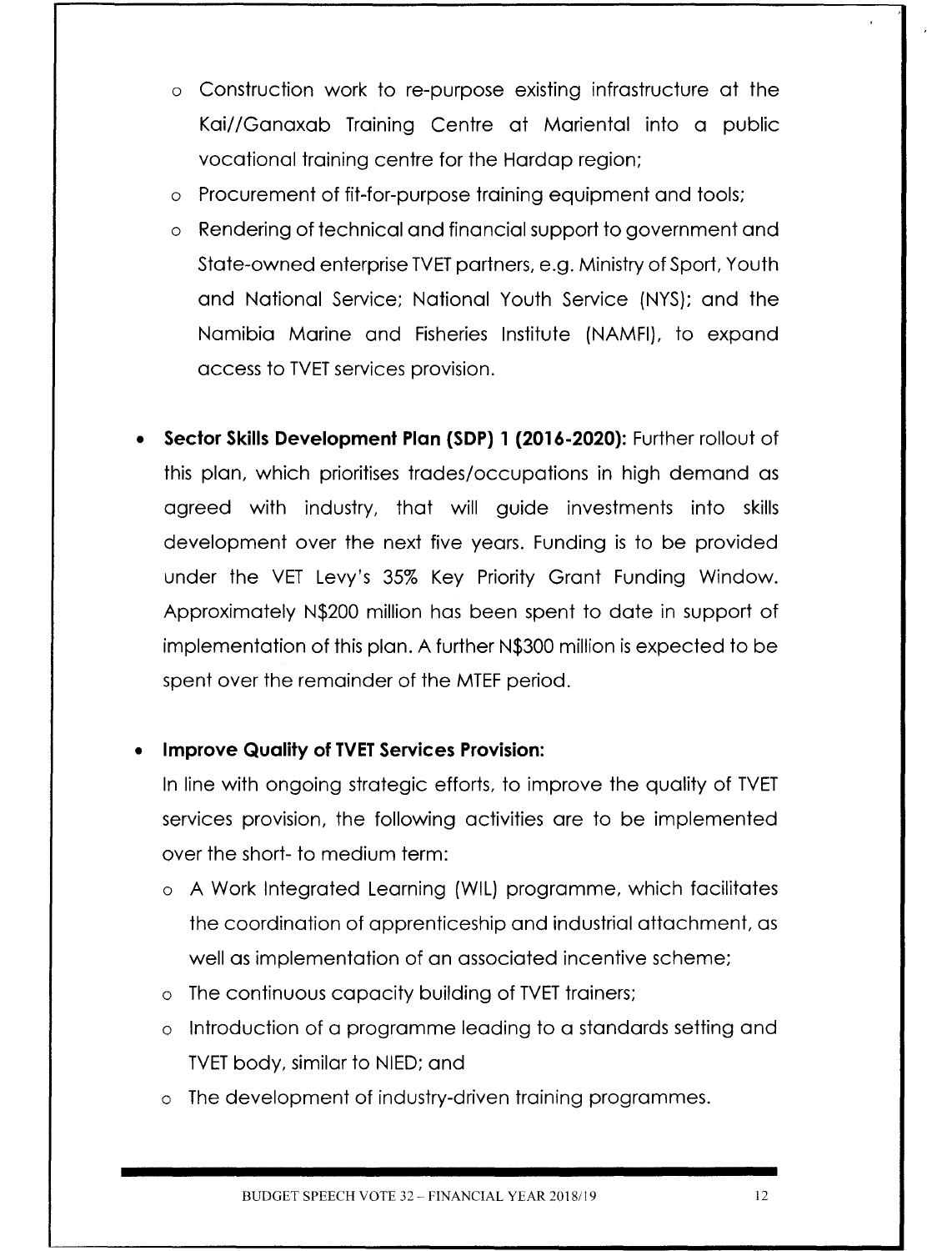- o Construction work to re-purpose existing infrastructure at the Kai//Ganaxab Training Centre at Mariental into a public vocational training centre for the Hardap region;
- Procurement of fit-for-purpose training equipment and tools;
- o Rendering of technical and financial support to government and State-owned enterprise TVET partners, e.g. Ministry of Sport, Youth and National Service; National Youth Service (NYS); and the Namibia Marine and Fisheries Institute (NAMFI), to expand access to TVET services provision.
- **• Sector Skills Development Plan (SDP) 1 (2016-2020):** Furtherrollout of this plan, which prioritises trades/occupations in high demand as agreed with industry, that will guide investments into skills development over the next five years. Funding is to be provided under the VET Levy's 35% Key Priority Grant Funding Window. Approximately N\$200 million has been spent to date in support of implementation of this plan. A further N\$300 million is expected to be spent over the remainder of the MTEF period.

### **Improve Quality of TVET Services Provision:**

In line with ongoing strategic efforts, to improve the quality of TVET services provision, the following activities are to be implemented over the short- to medium term:

- o A Work Integrated Learning (WIL) programme, which facilitates the coordination of apprenticeship and industrial attachment, as well as implementation of an associated incentive scheme;
- o The continuous capacity building of TVET trainers;
- o Introduction of a programme leading to a standards setting and TVET body, similar to NIED; and
- o The development of industry-driven training programmes.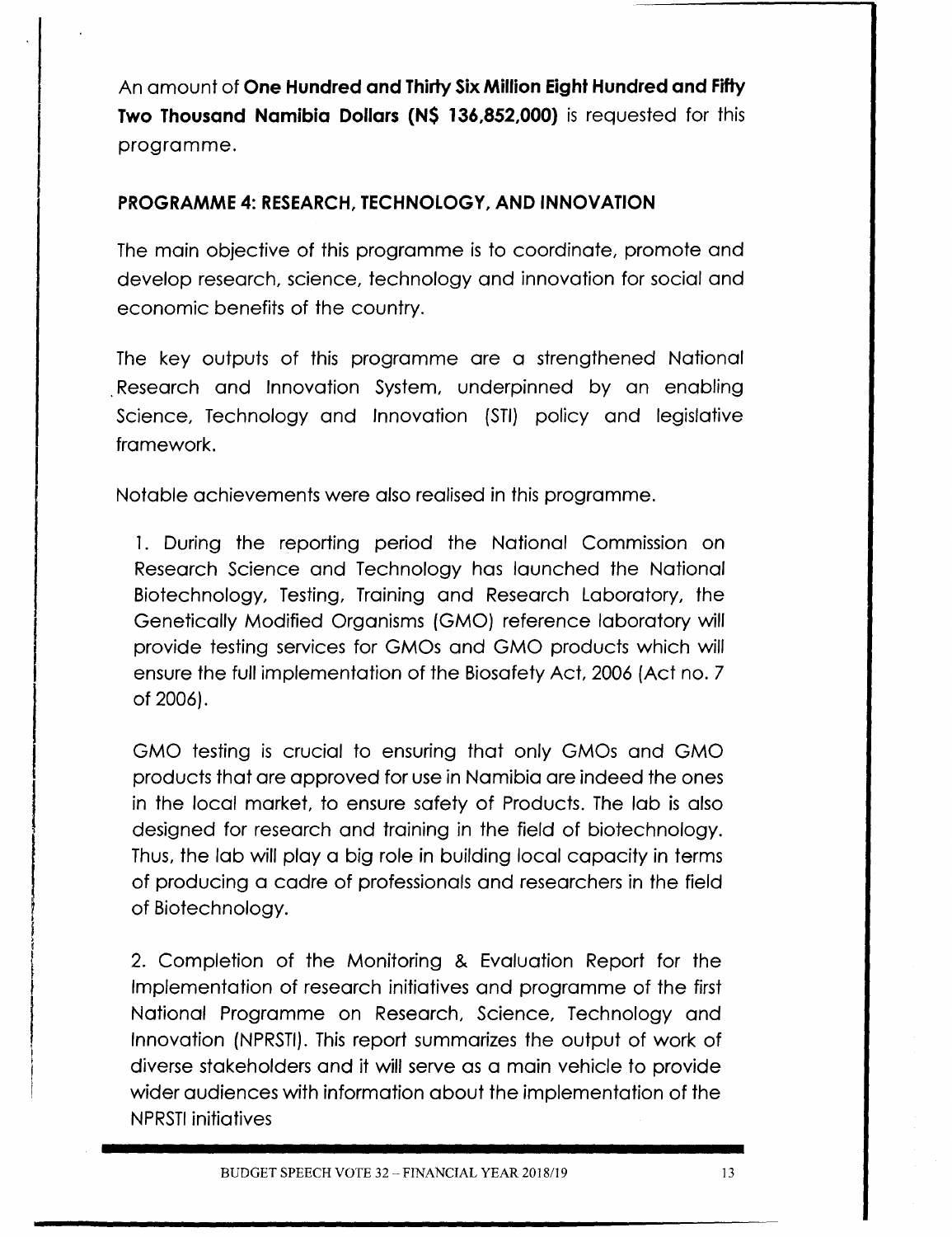An amount of **One Hundred and ThirtySix Million Eight Hundred and Fifty Two Thousand Namibia Dollars (NS 136,852,000)** is requested for this programme.

### **PROGRAMME 4: RESEARCH,TECHNOLOGY, AND INNOVATION**

The main objective of this programme is to coordinate, promote and develop research, science, technology and innovation for social and economic benefits of the country.

The key outputs of this programme are a strengthened National Research and Innovation System, underpinned by an enabling Science, Technology and Innovation (STI) policy and legislative framework.

Notable achievements were also realised in this programme.

1. During the reporting period the National Commission on Research Science and Technology has launched the National Biotechnology, Testing, Training and Research Laboratory, the Genetically Modified Organisms (GMO) reference laboratory will provide testing services for GMOs and GMO products which will ensure the full implementation of the Biosafety Act, 2006 (Act no. 7 of 2006).

GMO testing is crucial to ensuring that only GMOs and GMO products that are approved for usein Namibia are indeed the ones in the local market, to ensure safety of Products. The lab is also designed for research and training in the field of biotechnology. Thus, the lab will play a big role in building local capacity in terms of producing a cadre of professionals and researchers in the field of Biotechnology.

2. Completion of the Monitoring & Evaluation Report for the Implementation of research initiatives and programme of the first National Programme on Research, Science, Technology and Innovation (NPRSTI). This report summarizes the output of work of diverse stakeholders and it will serve as a main vehicle to provide wider audiences with information about the implementation of the NPRSTI initiatives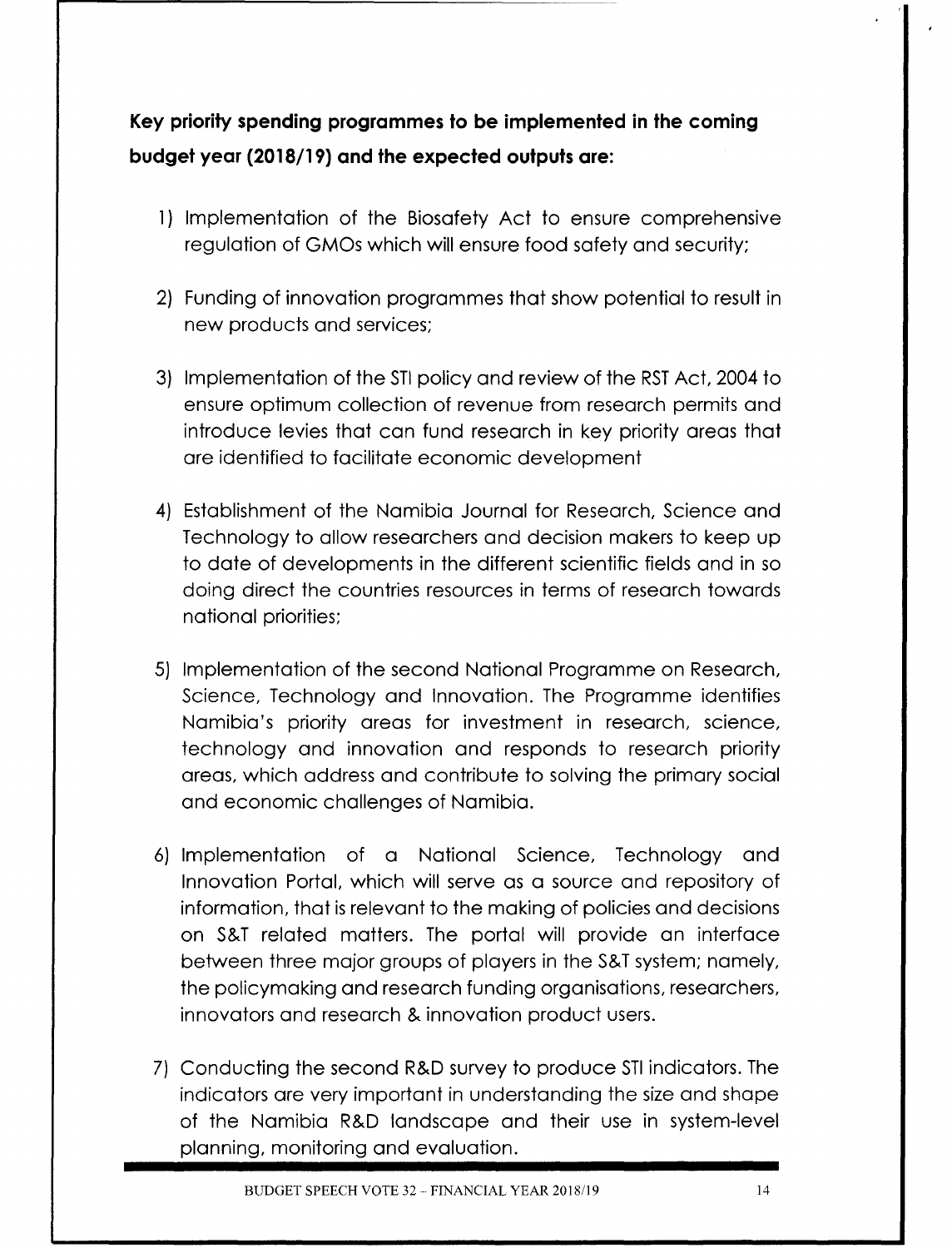**Key priorityspending programmes to be implemented in the coming budget year (2018/19) and the expected outputs are:**

- 1) Implementation of the Biosafety Act to ensure comprehensive regulation of GMOs which will ensure food safety and security;
- 2) Funding of innovation programmes that show potential to result in new products and services;
- 3) Implementation of the STI policy and review of the RST Act, 2004 to ensure optimum collection of revenue from research permits and introduce levies that can fund research in key priority areas that are identified to facilitate economic development
- 4) Establishment of the Namibia Journal for Research, Science and Technology to allow researchers and decision makers to keep up to date of developments in the different scientific fields and in so doing direct the countries resources in terms of research towards national priorities;
- 5) Implementation of the second National Programme on Research, Science, Technology and Innovation. The Programme identifies Namibia's priority areas for investment in research, science, technology and innovation and responds to research priority areas, which address and contribute to solving the primary social and economic challenges of Namibia.
- 6) Implementation of a National Science, Technology and Innovation Portal, which will serve as a source and repository of information, that is relevant to the making of policies and decisions on S&T related matters. The portal will provide an interface between three major groups of players in the S&T system; namely, the policymaking and research funding organisations, researchers, innovators and research & innovation product users.
- 7) Conducting the second R&D survey to produce STI indicators. The indicators are very important in understanding the size and shape of the Namibia R&D landscape and their use in system-level planning, monitoring and evaluation.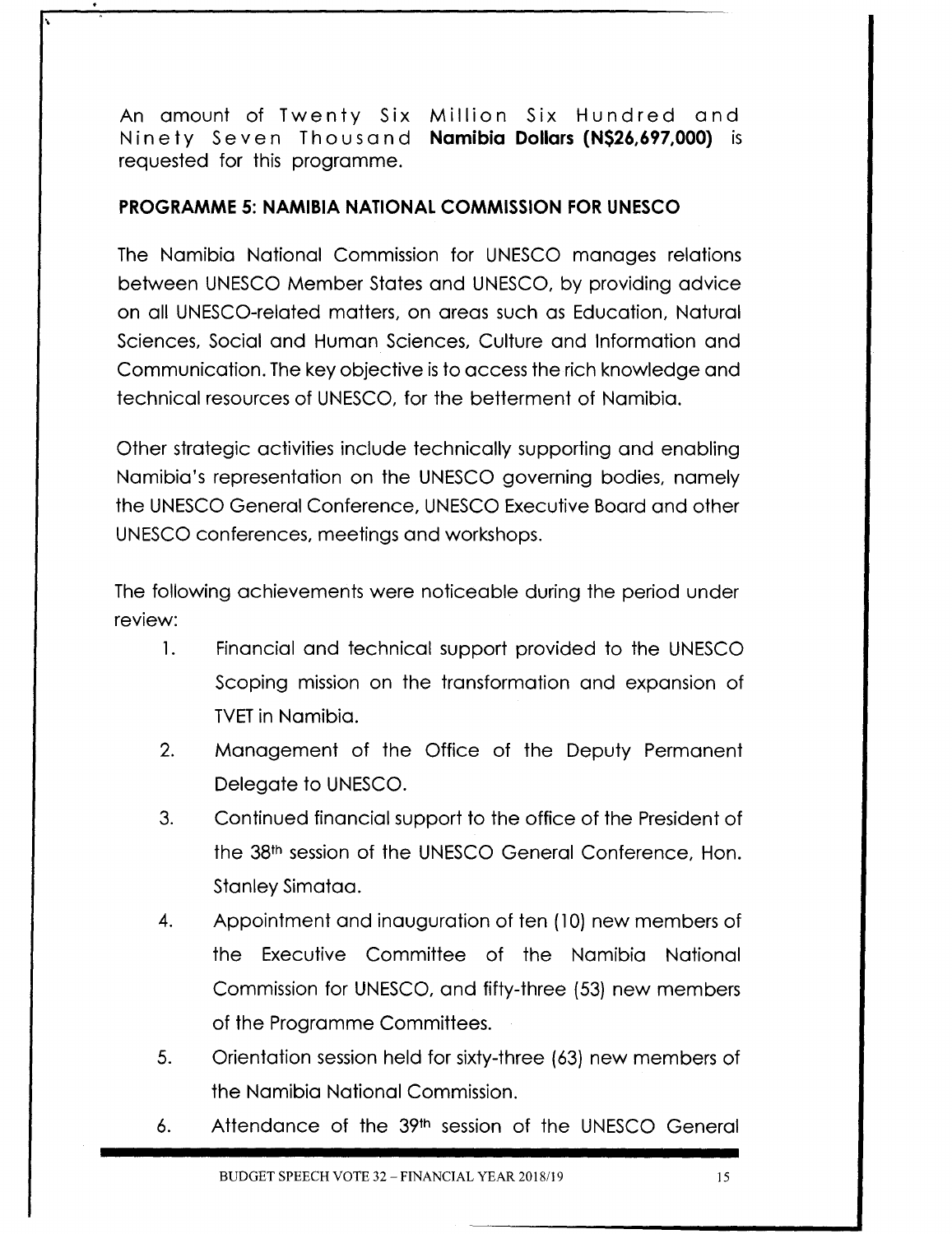An amount of Twenty Six Million Six Hundred and Ni net y Se v e nTh 0 usa n d **Namibia Dollars (NS26,697,OOO)** is requested for this programme.

#### **PROGRAMME 5: NAMIBIA NATIONAL COMMISSION FOR UNESCO**

\

The Namibia National Commission for UNESCO manages relations between UNESCO Member States and UNESCO, by providing advice on all UNESCO-related matters, on areas such as Education, Natural Sciences, Social and Human Sciences, Culture and Information and Communication. The key objective is to access the rich knowledge and technical resources of UNESCO, for the betterment of Namibia.

Other strategic activities include technically supporting and enabling Namibia's representation on the UNESCO governing bodies, namely the UNESCO General Conference, UNESCO Executive Board and other UNESCO conferences, meetings and workshops.

The following achievements were noticeable during the period under review:

- 1. Financial and technical support provided to the UNESCO Scoping mission on the transformation and expansion of **TVET** in Namibia.
- 2. Management of the Office of the Deputy Permanent Delegate to UNESCO.
- 3. Continued financial support to the office of the President of the 38th session of the UNESCO General Conference, Hon. Stanley Simataa.
- 4. Appointment and inauguration of ten (10) new members of the Executive Committee of the Namibia National Commission for UNESCO, and fifty-three (53) new members of the Programme Committees.
- 5. Orientation session held for sixty-three (63) new members of the Namibia National Commission.
- 6. Attendance of the 39th session of the UNESCO General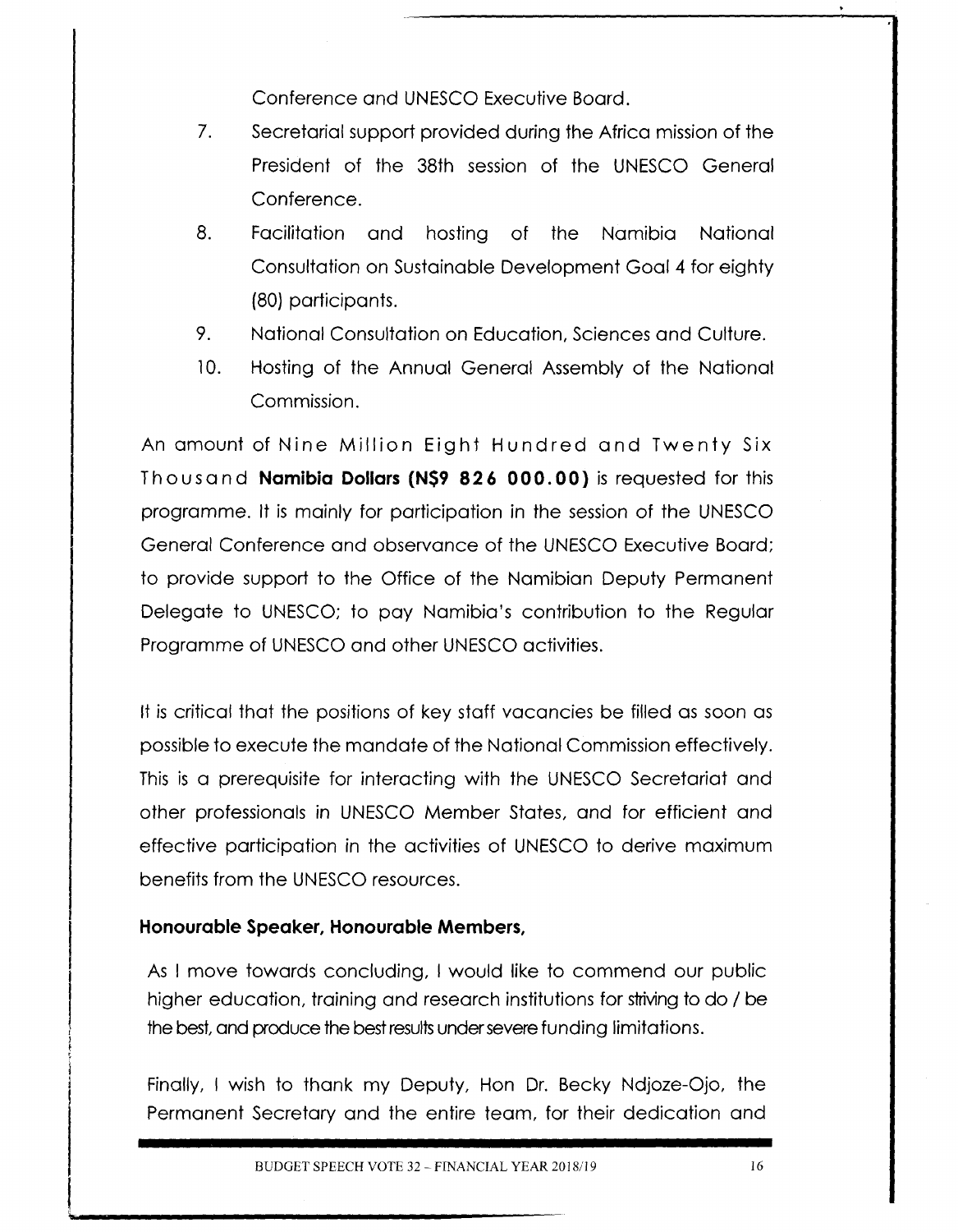Conference and UNESCO Executive Board.

- 7. Secretarial support provided during the Africa mission of the President of the 3Bth session of the UNESCO General Conference.
- *B.* Facilitation and hosting of the Namibia National Consultation on Sustainable Development Goal 4 for eighty *(Ba)* participants.
- 9. National Consultation on Education, Sciences and Culture.
- 10. Hosting of the Annual General Assembly of the National Commission.

An amount of Nine Million Eight Hundred and Twenty Six Th 0 usa n d **Namibia Dollars (N\$9 82 6 000.00)** is requested for this programme. It is mainly for participation in the session of the UNESCO General Conference and observance of the UNESCO Executive Board; to provide support to the Office of the Namibian Deputy Permanent Delegate to UNESCO; to pay Namibia's contribution to the Regular Programme of UNESCO and other UNESCO activities.

It is critical that the positions of key staff vacancies be filled as soon as possible to execute the mandate of the National Commission effectively. This is a prerequisite for interacting with the UNESCO Secretariat and other professionals in UNESCOMember States, and for efficient and effective participation in the activities of UNESCO to derive maximum benefits from the UNESCO resources.

### **Honourable Speaker, Honourable Members,**

**l**

As I move towards concluding, I would like to commend our public higher education, training and research institutions for striving to do / be the best, and produce the best results under severe funding limitations.

Finally, I wish to thank my Deputy, Hon Dr. Becky Ndjoze-Ojo, the Permanent Secretary and the entire team, for their dedication and